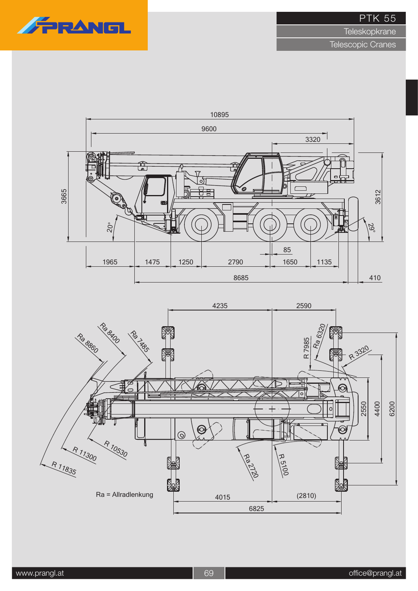

**Teleskopkrane** 

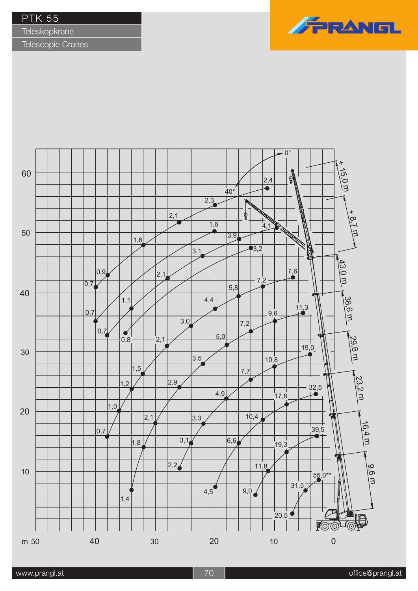**Teleskopkrane** 

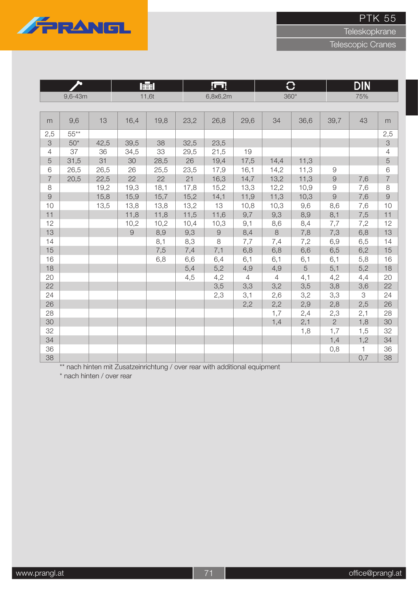

**Teleskopkrane** 

Telescopic Cranes

|                |         |      |      | 崖     |      | [m         |                | <b>、</b>       |      |                | <b>DIN</b> |                |
|----------------|---------|------|------|-------|------|------------|----------------|----------------|------|----------------|------------|----------------|
|                | 9,6-43m |      |      | 11,6t |      | 6,8x6,2m   |                | $360^\circ$    |      |                | 75%        |                |
|                |         |      |      |       |      |            |                |                |      |                |            |                |
| m              | 9,6     | 13   | 16,4 | 19,8  | 23,2 | 26,8       | 29,6           | 34             | 36,6 | 39,7           | 43         | m              |
| 2,5            | $55***$ |      |      |       |      |            |                |                |      |                |            | 2,5            |
| 3              | $50*$   | 42,5 | 39,5 | 38    | 32,5 | 23,5       |                |                |      |                |            | $\mathcal{S}$  |
| $\overline{4}$ | 37      | 36   | 34,5 | 33    | 29,5 | 21,5       | 19             |                |      |                |            | $\overline{4}$ |
| 5              | 31,5    | 31   | 30   | 28,5  | 26   | 19,4       | 17,5           | 14,4           | 11,3 |                |            | 5              |
| 6              | 26,5    | 26,5 | 26   | 25,5  | 23,5 | 17,9       | 16,1           | 14,2           | 11,3 | $\Theta$       |            | 6              |
| $\overline{7}$ | 20,5    | 22,5 | 22   | 22    | 21   | 16,3       | 14,7           | 13,2           | 11,3 | $\Theta$       | 7,6        | $\overline{7}$ |
| 8              |         | 19,2 | 19,3 | 18,1  | 17,8 | 15,2       | 13,3           | 12,2           | 10,9 | $\Theta$       | 7,6        | 8              |
| $\mathcal{G}$  |         | 15,8 | 15,9 | 15,7  | 15,2 | 14,1       | 11,9           | 11,3           | 10,3 | 9              | 7,6        | $\Theta$       |
| 10             |         | 13,5 | 13,8 | 13,8  | 13,2 | 13         | 10,8           | 10,3           | 9,6  | 8,6            | 7,6        | 10             |
| 11             |         |      | 11,8 | 11,8  | 11,5 | 11,6       | 9,7            | 9,3            | 8,9  | 8,1            | 7,5        | 11             |
| 12             |         |      | 10,2 | 10,2  | 10,4 | 10,3       | 9,1            | 8,6            | 8,4  | 7,7            | 7,2        | 12             |
| 13             |         |      | 9    | 8,9   | 9,3  | $\hbox{9}$ | 8,4            | 8              | 7,8  | 7,3            | 6,8        | 13             |
| 14             |         |      |      | 8,1   | 8,3  | 8          | 7,7            | 7,4            | 7,2  | 6,9            | 6,5        | 14             |
| 15             |         |      |      | 7,5   | 7,4  | 7,1        | 6,8            | 6,8            | 6,6  | 6,5            | 6,2        | 15             |
| 16             |         |      |      | 6,8   | 6,6  | 6,4        | 6,1            | 6,1            | 6,1  | 6,1            | 5,8        | 16             |
| 18             |         |      |      |       | 5,4  | 5,2        | 4,9            | 4,9            | 5    | 5,1            | 5,2        | 18             |
| 20             |         |      |      |       | 4,5  | 4,2        | $\overline{4}$ | $\overline{4}$ | 4,1  | 4,2            | 4,4        | 20             |
| 22             |         |      |      |       |      | 3,5        | 3,3            | 3,2            | 3,5  | 3,8            | 3,6        | 22             |
| 24             |         |      |      |       |      | 2,3        | 3,1            | 2,6            | 3,2  | 3,3            | 3          | 24             |
| 26             |         |      |      |       |      |            | 2,2            | 2,2            | 2,9  | 2,8            | 2,5        | 26             |
| 28             |         |      |      |       |      |            |                | 1,7            | 2,4  | 2,3            | 2,1        | 28             |
| 30             |         |      |      |       |      |            |                | 1,4            | 2,1  | $\overline{2}$ | 1,8        | 30             |
| 32             |         |      |      |       |      |            |                |                | 1,8  | 1,7            | 1,5        | 32             |
| 34             |         |      |      |       |      |            |                |                |      | 1,4            | 1,2        | 34             |
| 36             |         |      |      |       |      |            |                |                |      | 0,8            | 1          | 36             |
| 38             |         |      |      |       |      |            |                |                |      |                | 0,7        | 38             |

\*\* nach hinten mit Zusatzeinrichtung / over rear with additional equipment

\* nach hinten / over rear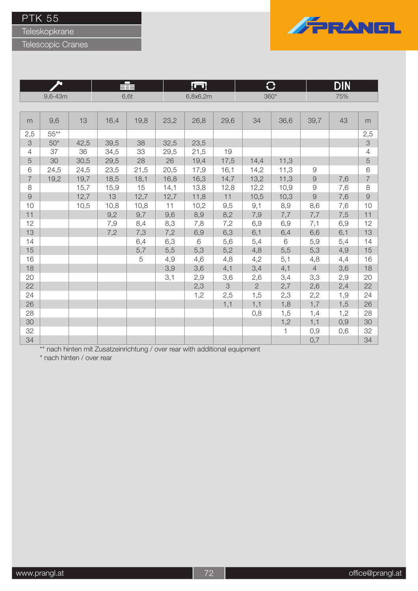Teleskopkrane

Telescopic Cranes



|                |             |      |      | ≡∎   |      | ĮП       |      |                | O     |                     | DIN |                           |
|----------------|-------------|------|------|------|------|----------|------|----------------|-------|---------------------|-----|---------------------------|
|                | $9,6 - 43m$ |      |      | 6,6t |      | 6,8x6,2m |      | $360^\circ$    |       |                     | 75% |                           |
|                |             |      |      |      |      |          |      |                |       |                     |     |                           |
| m              | 9,6         | 13   | 16,4 | 19,8 | 23,2 | 26,8     | 29,6 | 34             | 36,6  | 39,7                | 43  | m                         |
| 2,5            | $55***$     |      |      |      |      |          |      |                |       |                     |     | 2,5                       |
| $\mbox{3}$     | $50*$       | 42,5 | 39,5 | 38   | 32,5 | 23,5     |      |                |       |                     |     | $\ensuremath{\mathsf{3}}$ |
| $\overline{4}$ | 37          | 36   | 34,5 | 33   | 29,5 | 21,5     | 19   |                |       |                     |     | $\overline{4}$            |
| 5              | 30          | 30,5 | 29,5 | 28   | 26   | 19,4     | 17,5 | 14,4           | 11,3  |                     |     | 5                         |
| 6              | 24,5        | 24,5 | 23,5 | 21,5 | 20,5 | 17,9     | 16,1 | 14,2           | 11,3  | $\mathcal{G}% _{0}$ |     | 6                         |
| $\overline{7}$ | 19,2        | 19,7 | 18,5 | 18,1 | 16,8 | 16,3     | 14,7 | 13,2           | 11,3  | $\Theta$            | 7,6 | $\overline{7}$            |
| 8              |             | 15,7 | 15,9 | 15   | 14,1 | 13,8     | 12,8 | 12,2           | 10,9  | $\Theta$            | 7,6 | $\,8\,$                   |
| $\overline{9}$ |             | 12,7 | 13   | 12,7 | 12,7 | 11,8     | 11   | 10,5           | 10,3  | $\mathcal{G}$       | 7,6 | $\mathcal{G}$             |
| 10             |             | 10,5 | 10,8 | 10,8 | 11   | 10,2     | 9,5  | 9,1            | 8,9   | 8,6                 | 7,6 | 10                        |
| 11             |             |      | 9,2  | 9,7  | 9,6  | 8,9      | 8,2  | 7,9            | 7,7   | 7,7                 | 7,5 | 11                        |
| 12             |             |      | 7,9  | 8,4  | 8,3  | 7,8      | 7,2  | 6,9            | 6,9   | 7,1                 | 6,9 | 12                        |
| 13             |             |      | 7,2  | 7,3  | 7,2  | 6,9      | 6,3  | 6,1            | 6,4   | 6,6                 | 6,1 | 13                        |
| 14             |             |      |      | 6,4  | 6,3  | $6\,$    | 5,6  | 5,4            | $6\,$ | 5,9                 | 5,4 | 14                        |
| 15             |             |      |      | 5,7  | 5,5  | 5,3      | 5,2  | 4,8            | 5,5   | 5,3                 | 4,9 | 15                        |
| 16             |             |      |      | 5    | 4,9  | 4,6      | 4,8  | 4,2            | 5,1   | 4,8                 | 4,4 | 16                        |
| 18             |             |      |      |      | 3,9  | 3,6      | 4,1  | 3,4            | 4,1   | $\overline{4}$      | 3,6 | 18                        |
| 20             |             |      |      |      | 3,1  | 2,9      | 3,6  | 2,6            | 3,4   | 3,3                 | 2,9 | 20                        |
| 22             |             |      |      |      |      | 2,3      | 3    | $\overline{2}$ | 2,7   | 2,6                 | 2,4 | 22                        |
| 24             |             |      |      |      |      | 1,2      | 2,5  | 1,5            | 2,3   | 2,2                 | 1,9 | 24                        |
| 26             |             |      |      |      |      |          | 1,1  | 1,1            | 1,8   | 1,7                 | 1,5 | 26                        |
| 28             |             |      |      |      |      |          |      | 0,8            | 1,5   | 1,4                 | 1,2 | 28                        |
| 30             |             |      |      |      |      |          |      |                | 1,2   | 1,1                 | 0,9 | 30                        |
| 32             |             |      |      |      |      |          |      |                | 1     | 0,9                 | 0,6 | 32                        |
| 34             |             |      |      |      |      |          |      |                |       | 0,7                 |     | 34                        |

\*\* nach hinten mit Zusatzeinrichtung / over rear with additional equipment

\* nach hinten / over rear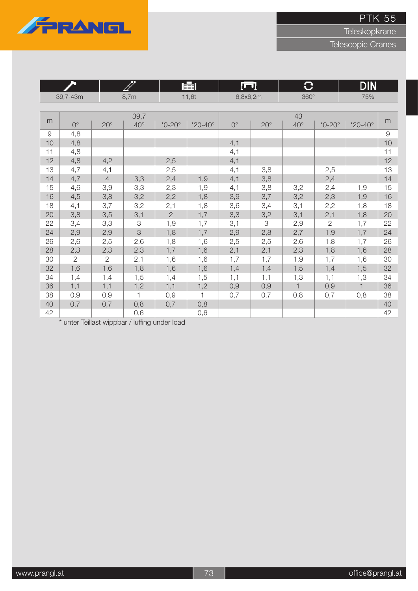

**Teleskopkrane** 

Telescopic Cranes

|    |                |                | FFF          |                | 国                  |             | łш         |              | $\bf C$       | <b>DIN</b>         |          |
|----|----------------|----------------|--------------|----------------|--------------------|-------------|------------|--------------|---------------|--------------------|----------|
|    | 39,7-43m       |                | 8,7m         |                | 11,6t              | 6,8x6,2m    |            | $360^\circ$  |               | 75%                |          |
|    |                |                |              |                |                    |             |            |              |               |                    |          |
| m  |                |                | 39,7         |                |                    |             |            | 43           |               |                    | m        |
|    | $0^{\circ}$    | $20^{\circ}$   | $40^{\circ}$ | $*0-20^\circ$  | $*20 - 40^{\circ}$ | $0^{\circ}$ | $20^\circ$ | $40^{\circ}$ | $*0-20^\circ$ | $*20 - 40^{\circ}$ |          |
| 9  | 4,8            |                |              |                |                    |             |            |              |               |                    | $\Theta$ |
| 10 | 4,8            |                |              |                |                    | 4,1         |            |              |               |                    | 10       |
| 11 | 4,8            |                |              |                |                    | 4,1         |            |              |               |                    | 11       |
| 12 | 4,8            | 4,2            |              | 2,5            |                    | 4,1         |            |              |               |                    | 12       |
| 13 | 4,7            | 4,1            |              | 2,5            |                    | 4,1         | 3,8        |              | 2,5           |                    | 13       |
| 14 | 4,7            | $\overline{4}$ | 3,3          | 2,4            | 1,9                | 4,1         | 3,8        |              | 2,4           |                    | 14       |
| 15 | 4,6            | 3,9            | 3,3          | 2,3            | 1,9                | 4,1         | 3,8        | 3,2          | 2,4           | 1,9                | 15       |
| 16 | 4,5            | 3,8            | 3,2          | 2,2            | 1,8                | 3,9         | 3,7        | 3,2          | 2,3           | 1,9                | 16       |
| 18 | 4,1            | 3,7            | 3,2          | 2,1            | 1,8                | 3,6         | 3,4        | 3,1          | 2,2           | 1,8                | 18       |
| 20 | 3,8            | 3,5            | 3,1          | $\overline{2}$ | 1,7                | 3,3         | 3,2        | 3,1          | 2,1           | 1,8                | 20       |
| 22 | 3,4            | 3,3            | 3            | 1,9            | 1,7                | 3,1         | 3          | 2,9          | $\mathbf{2}$  | 1,7                | 22       |
| 24 | 2,9            | 2,9            | 3            | 1,8            | 1,7                | 2,9         | 2,8        | 2,7          | 1,9           | 1,7                | 24       |
| 26 | 2,6            | 2,5            | 2,6          | 1,8            | 1,6                | 2,5         | 2,5        | 2,6          | 1,8           | 1,7                | 26       |
| 28 | 2,3            | 2,3            | 2,3          | 1,7            | 1,6                | 2,1         | 2,1        | 2,3          | 1,8           | 1,6                | 28       |
| 30 | $\overline{2}$ | $\overline{2}$ | 2,1          | 1,6            | 1,6                | 1,7         | 1,7        | 1,9          | 1,7           | 1,6                | 30       |
| 32 | 1,6            | 1,6            | 1,8          | 1,6            | 1,6                | 1,4         | 1,4        | 1,5          | 1,4           | 1,5                | 32       |
| 34 | 1,4            | 1,4            | 1,5          | 1,4            | 1,5                | 1,1         | 1,1        | 1,3          | 1,1           | 1,3                | 34       |
| 36 | 1,1            | 1,1            | 1,2          | 1,1            | 1,2                | 0,9         | 0,9        | $\mathbf{1}$ | 0,9           | $\mathbf{1}$       | 36       |
| 38 | 0,9            | 0,9            | 1            | 0,9            | 1                  | 0,7         | 0,7        | 0,8          | 0,7           | 0,8                | 38       |
| 40 | 0,7            | 0,7            | 0,8          | 0,7            | 0,8                |             |            |              |               |                    | 40       |
| 42 |                |                | 0,6          |                | 0,6                |             |            |              |               |                    | 42       |

\* unter Teillast wippbar / luffing under load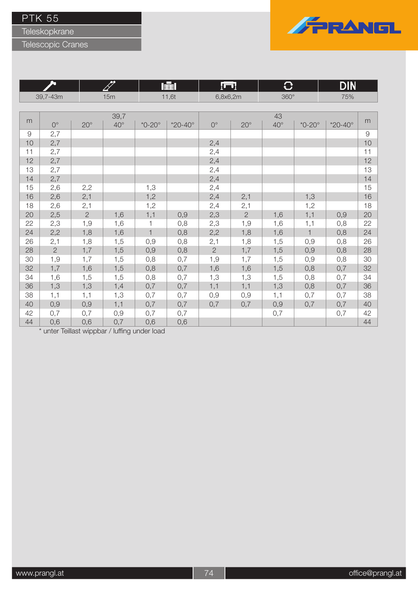Teleskopkrane

### Telescopic Cranes



<u>erren</u>

|                     |                |                |              |               | 賱                  | $\Gamma$       |                | ₩            |               | DIN                |    |
|---------------------|----------------|----------------|--------------|---------------|--------------------|----------------|----------------|--------------|---------------|--------------------|----|
|                     | 39,7-43m       |                | 15m          |               | 11,6t              | 6,8x6,2m       |                | $360^\circ$  |               | 75%                |    |
|                     |                |                |              |               |                    |                |                |              |               |                    |    |
|                     |                |                | 39,7         |               |                    |                |                | 43           |               |                    |    |
| m                   | $0^{\circ}$    | $20^{\circ}$   | $40^{\circ}$ | $*0-20^\circ$ | $*20 - 40^{\circ}$ | $0^{\circ}$    | $20^{\circ}$   | $40^{\circ}$ | $*0-20^\circ$ | $*20 - 40^{\circ}$ | m  |
| $\mathcal{G}% _{0}$ | 2,7            |                |              |               |                    |                |                |              |               |                    | 9  |
| 10                  | 2,7            |                |              |               |                    | 2,4            |                |              |               |                    | 10 |
| 11                  | 2,7            |                |              |               |                    | 2,4            |                |              |               |                    | 11 |
| 12                  | 2,7            |                |              |               |                    | 2,4            |                |              |               |                    | 12 |
| 13                  | 2,7            |                |              |               |                    | 2,4            |                |              |               |                    | 13 |
| 14                  | 2,7            |                |              |               |                    | 2,4            |                |              |               |                    | 14 |
| 15                  | 2,6            | 2,2            |              | 1,3           |                    | 2,4            |                |              |               |                    | 15 |
| 16                  | 2,6            | 2,1            |              | 1,2           |                    | 2,4            | 2,1            |              | 1,3           |                    | 16 |
| 18                  | 2,6            | 2,1            |              | 1,2           |                    | 2,4            | 2,1            |              | 1,2           |                    | 18 |
| 20                  | 2,5            | $\overline{c}$ | 1,6          | 1,1           | 0,9                | 2,3            | $\overline{2}$ | 1,6          | 1,1           | 0,9                | 20 |
| 22                  | 2,3            | 1,9            | 1,6          | 1             | 0,8                | 2,3            | 1,9            | 1,6          | 1,1           | 0,8                | 22 |
| 24                  | 2,2            | 1,8            | 1,6          | $\mathbf{1}$  | 0,8                | 2,2            | 1,8            | 1,6          | $\mathbf{1}$  | 0,8                | 24 |
| 26                  | 2,1            | 1,8            | 1,5          | 0,9           | 0,8                | 2,1            | 1,8            | 1,5          | 0,9           | 0,8                | 26 |
| 28                  | $\overline{2}$ | 1,7            | 1,5          | 0,9           | 0,8                | $\overline{2}$ | 1,7            | 1,5          | 0,9           | 0,8                | 28 |
| 30                  | 1,9            | 1,7            | 1,5          | 0,8           | 0,7                | 1,9            | 1,7            | 1,5          | 0,9           | 0,8                | 30 |
| 32                  | 1,7            | 1,6            | 1,5          | 0,8           | 0,7                | 1,6            | 1,6            | 1,5          | 0,8           | 0,7                | 32 |
| 34                  | 1,6            | 1,5            | 1,5          | 0,8           | 0,7                | 1,3            | 1,3            | 1,5          | 0,8           | 0,7                | 34 |
| 36                  | 1,3            | 1,3            | 1,4          | 0,7           | 0,7                | 1,1            | 1,1            | 1,3          | 0,8           | 0,7                | 36 |
| 38                  | 1,1            | 1,1            | 1,3          | 0,7           | 0,7                | 0,9            | 0,9            | 1,1          | 0,7           | 0,7                | 38 |
| 40                  | 0,9            | 0,9            | 1,1          | 0,7           | 0,7                | 0,7            | 0,7            | 0,9          | 0,7           | 0,7                | 40 |
| 42                  | 0,7            | 0,7            | 0,9          | 0,7           | 0,7                |                |                | 0,7          |               | 0,7                | 42 |
| 44                  | 0,6            | 0,6            | 0,7          | 0,6           | 0,6                |                |                |              |               |                    | 44 |

\* unter Teillast wippbar / luffing under load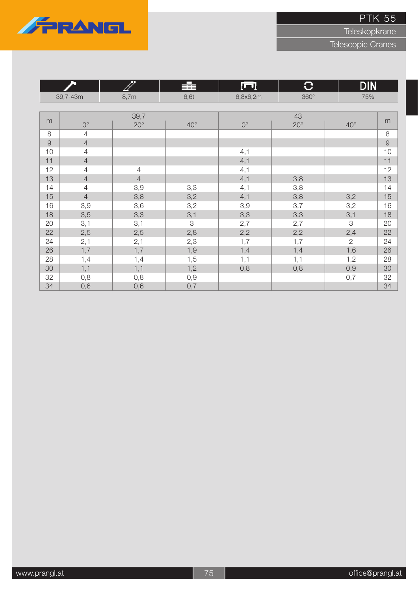



|          | ௯              | 09             | 辈                          | lund        | $\bf C$      | <b>DIN</b>     |               |
|----------|----------------|----------------|----------------------------|-------------|--------------|----------------|---------------|
|          | 39,7-43m       | 8,7m           | 6,6t                       | 6,8x6,2m    | $360^\circ$  | 75%            |               |
|          |                |                |                            |             |              |                |               |
| m        |                | 39,7           |                            |             | 43           |                | m             |
|          | $0^{\circ}$    | $20^{\circ}$   | $40^{\circ}$               | $0^{\circ}$ | $20^{\circ}$ | $40^{\circ}$   |               |
| 8        | $\overline{4}$ |                |                            |             |              |                | $\,8\,$       |
| $\Theta$ | $\overline{4}$ |                |                            |             |              |                | $\mathcal{G}$ |
| 10       | $\overline{4}$ |                |                            | 4,1         |              |                | 10            |
| 11       | $\overline{4}$ |                |                            | 4,1         |              |                | 11            |
| 12       | $\overline{4}$ | $\overline{4}$ |                            | 4,1         |              |                | 12            |
| 13       | $\overline{4}$ | $\overline{4}$ |                            | 4,1         | 3,8          |                | 13            |
| 14       | $\overline{4}$ | 3,9            | 3,3                        | 4,1         | 3,8          |                | 14            |
| 15       | $\overline{4}$ | 3,8            | 3,2                        | 4,1         | 3,8          | 3,2            | 15            |
| 16       | 3,9            | 3,6            | 3,2                        | 3,9         | 3,7          | 3,2            | 16            |
| 18       | 3,5            | 3,3            | 3,1                        | 3,3         | 3,3          | 3,1            | 18            |
| 20       | 3,1            | 3,1            | $\ensuremath{\mathcal{S}}$ | 2,7         | 2,7          | 3              | 20            |
| 22       | 2,5            | 2,5            | 2,8                        | 2,2         | 2,2          | 2,4            | 22            |
| 24       | 2,1            | 2,1            | 2,3                        | 1,7         | 1,7          | $\overline{2}$ | 24            |
| 26       | 1,7            | 1,7            | 1,9                        | 1,4         | 1,4          | 1,6            | 26            |
| 28       | 1,4            | 1,4            | 1,5                        | 1,1         | 1,1          | 1,2            | 28            |
| 30       | 1,1            | 1,1            | 1,2                        | 0,8         | 0,8          | 0,9            | 30            |
| 32       | 0,8            | 0,8            | 0,9                        |             |              | 0,7            | 32            |
| 34       | 0,6            | 0,6            | 0,7                        |             |              |                | 34            |